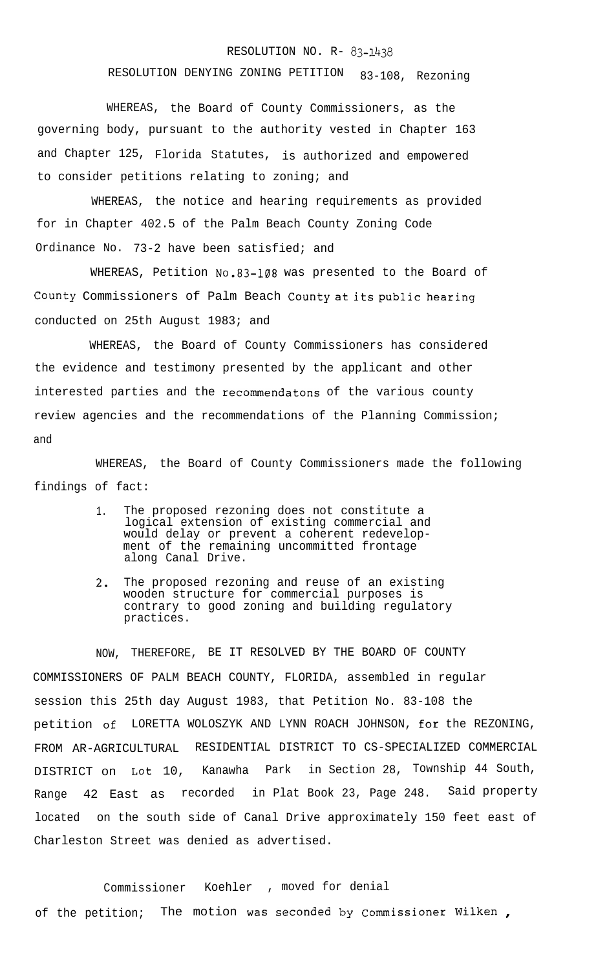## RESOLUTION NO. R- 83-1438

## RESOLUTION DENYING ZONING PETITION 83-108, Rezoning

WHEREAS, the Board of County Commissioners, as the governing body, pursuant to the authority vested in Chapter 163 and Chapter 125, Florida Statutes, is authorized and empowered to consider petitions relating to zoning; and

WHEREAS, the notice and hearing requirements as provided for in Chapter 402.5 of the Palm Beach County Zoning Code Ordinance No. 73-2 have been satisfied; and

WHEREAS, Petition No.83-108 was presented to the Board of County Commissioners of Palm Beach County at its public hearing conducted on 25th August 1983; and

WHEREAS, the Board of County Commissioners has considered the evidence and testimony presented by the applicant and other interested parties and the recommendatons of the various county review agencies and the recommendations of the Planning Commission; and

WHEREAS, the Board of County Commissioners made the following findings of fact:

- 1. The proposed rezoning does not constitute a logical extension of existing commercial and would delay or prevent a coherent redevelopment of the remaining uncommitted frontage along Canal Drive.
- 2. The proposed rezoning and reuse of an existing wooden structure for commercial purposes is contrary to good zoning and building regulatory practices.

NOW, THEREFORE, BE IT RESOLVED BY THE BOARD OF COUNTY COMMISSIONERS OF PALM BEACH COUNTY, FLORIDA, assembled in regular session this 25th day August 1983, that Petition No. 83-108 the petition of LORETTA WOLOSZYK AND LYNN ROACH JOHNSON, for the REZONING, FROM AR-AGRICULTURAL RESIDENTIAL DISTRICT TO CS-SPECIALIZED COMMERCIAL DISTRICT on Lot 10, Kanawha Park in Section 28, Township 44 South, Range 42 East as recorded in Plat Book 23, Page 248. Said property located on the south side of Canal Drive approximately 150 feet east of Charleston Street was denied as advertised.

Commissioner Koehler , moved for denial of the petition; The motion was seconded by Commissioner Wilken ,